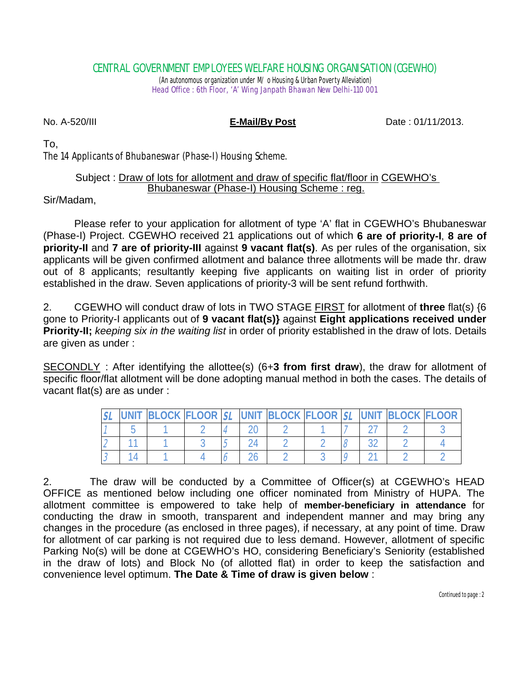### CENTRAL GOVERNMENT EMPLOYEES WELFARE HOUSING ORGANISATION (CGEWHO)

(An autonomous organization under M/ o Housing & Urban Poverty Alleviation) Head Office : 6th Floor, 'A' Wing Janpath Bhawan New Delhi-110 001

No. A-520/III **E-Mail/By Post** Date : 01/11/2013.

To,

The 14 Applicants of Bhubaneswar (Phase-I) Housing Scheme.

### Subject : Draw of lots for allotment and draw of specific flat/floor in CGEWHO's Bhubaneswar (Phase-I) Housing Scheme : reg.

Sir/Madam,

Please refer to your application for allotment of type 'A' flat in CGEWHO's Bhubaneswar (Phase-I) Project. CGEWHO received 21 applications out of which **6 are of priority-I**, **8 are of priority-II** and **7 are of priority-III** against **9 vacant flat(s)**. As per rules of the organisation, six applicants will be given confirmed allotment and balance three allotments will be made thr. draw out of 8 applicants; resultantly keeping five applicants on waiting list in order of priority established in the draw. Seven applications of priority-3 will be sent refund forthwith.

2. CGEWHO will conduct draw of lots in TWO STAGE FIRST for allotment of **three** flat(s) {6 gone to Priority-I applicants out of **9 vacant flat(s)}** against **Eight applications received under Priority-II;** *keeping six in the waiting list* in order of priority established in the draw of lots. Details are given as under :

SECONDLY : After identifying the allottee(s) (6+**3 from first draw**), the draw for allotment of specific floor/flat allotment will be done adopting manual method in both the cases. The details of vacant flat(s) are as under :

| <b>UNIT</b> | BLOCK FLOOR SL UNIT BLOCK FLOOR SL UNIT BLOCK FLOOR |  |  |  |  |  |
|-------------|-----------------------------------------------------|--|--|--|--|--|
|             |                                                     |  |  |  |  |  |
|             |                                                     |  |  |  |  |  |
|             |                                                     |  |  |  |  |  |

2. The draw will be conducted by a Committee of Officer(s) at CGEWHO's HEAD OFFICE as mentioned below including one officer nominated from Ministry of HUPA. The allotment committee is empowered to take help of **member-beneficiary in attendance** for conducting the draw in smooth, transparent and independent manner and may bring any changes in the procedure (as enclosed in three pages), if necessary, at any point of time. Draw for allotment of car parking is not required due to less demand. However, allotment of specific Parking No(s) will be done at CGEWHO's HO, considering Beneficiary's Seniority (established in the draw of lots) and Block No (of allotted flat) in order to keep the satisfaction and convenience level optimum. **The Date & Time of draw is given below** :

Continued to page : 2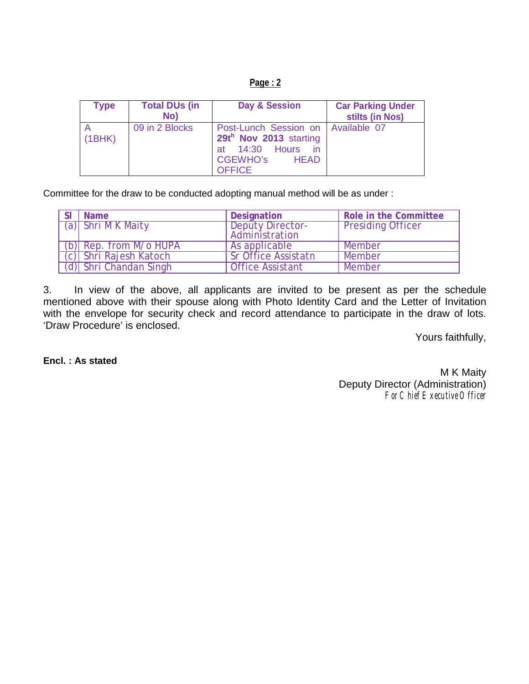|--|

| <b>Type</b> | <b>Total DUs (in</b><br>No) | Day & Session                                                                                                                          | <b>Car Parking Under</b><br>stilts (in Nos) |
|-------------|-----------------------------|----------------------------------------------------------------------------------------------------------------------------------------|---------------------------------------------|
| (1BHK)      | 09 in 2 Blocks              | Post-Lunch Session on   Available 07<br>29th Nov 2013 starting<br>at 14:30 Hours in<br><b>CGEWHO's</b><br><b>HEAD</b><br><b>OFFICE</b> |                                             |

Committee for the draw to be conducted adopting manual method will be as under :

| <b>Name</b>            | Designation                               | Role in the Committee    |
|------------------------|-------------------------------------------|--------------------------|
| (a) Shri M K Maity     | <b>Deputy Director-</b><br>Administration | <b>Presiding Officer</b> |
| (b) Rep. from M/o HUPA | As applicable                             | Member                   |
| (c) Shri Rajesh Katoch | <b>Sr Office Assistatn</b>                | Member                   |
| (d) Shri Chandan Singh | <b>Office Assistant</b>                   | Member                   |

3. In view of the above, all applicants are invited to be present as per the schedule mentioned above with their spouse along with Photo Identity Card and the Letter of Invitation with the envelope for security check and record attendance to participate in the draw of lots. 'Draw Procedure' is enclosed.

Yours faithfully,

**Encl. : As stated**

M K Maity Deputy Director (Administration) For Chief Executive Officer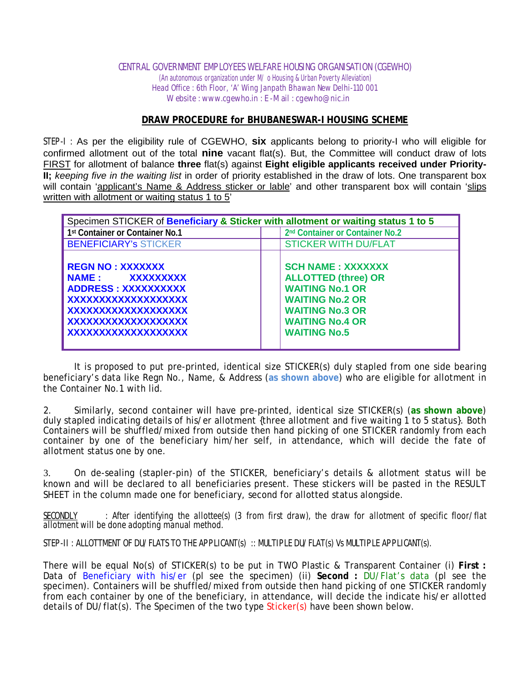#### CENTRAL GOVERNMENT EMPLOYEES WELFARE HOUSING ORGANISATION (CGEWHO)

(An autonomous organization under M/ o Housing & Urban Poverty Alleviation) Head Office : 6th Floor, 'A' Wing Janpath Bhawan New Delhi-110 001 Website : www.cgewho.in : E-Mail : cgewho@nic.in

#### **DRAW PROCEDURE for BHUBANESWAR-I HOUSING SCHEME**

STEP-I : As per the eligibility rule of CGEWHO, **six** applicants belong to priority-I who will eligible for confirmed allotment out of the total **nine** vacant flat(s). But, the Committee will conduct draw of lots FIRST for allotment of balance **three** flat(s) against **Eight eligible applicants received under Priority-II;** *keeping five in the waiting list* in order of priority established in the draw of lots. One transparent box will contain 'applicant's Name & Address sticker or lable' and other transparent box will contain 'slips written with allotment or waiting status 1 to 5'

| Specimen STICKER of Beneficiary & Sticker with allotment or waiting status 1 to 5                                                                                  |                                                                                                                                                                                       |  |  |  |  |
|--------------------------------------------------------------------------------------------------------------------------------------------------------------------|---------------------------------------------------------------------------------------------------------------------------------------------------------------------------------------|--|--|--|--|
| 1st Container or Container No.1                                                                                                                                    | 2 <sup>nd</sup> Container or Container No.2                                                                                                                                           |  |  |  |  |
| <b>BENEFICIARY'S STICKER</b>                                                                                                                                       | <b>STICKER WITH DU/FLAT</b>                                                                                                                                                           |  |  |  |  |
| <b>REGN NO: XXXXXXX</b><br>NAME: XXXXXXXXX<br><b>ADDRESS: XXXXXXXXXX</b><br>XXXXXXXXXXXXXXXXXX<br>XXXXXXXXXXXXXXXXXXX<br>XXXXXXXXXXXXXXXXXXX<br>XXXXXXXXXXXXXXXXXX | <b>SCH NAME: XXXXXXX</b><br><b>ALLOTTED (three) OR</b><br><b>WAITING No.1 OR</b><br><b>WAITING No.2 OR</b><br><b>WAITING No.3 OR</b><br><b>WAITING No.4 OR</b><br><b>WAITING No.5</b> |  |  |  |  |

It is proposed to put pre-printed, identical size STICKER(s) duly stapled from one side bearing beneficiary's data like Regn No., Name, & Address (**as shown above**) who are eligible for allotment in the Container No.1 with lid.

2. Similarly, second container will have pre-printed, identical size STICKER(s) (**as shown above**) duly stapled indicating details of his/er allotment {three allotment and five waiting 1 to 5 status}. Both Containers will be shuffled/mixed from outside then hand picking of one STICKER randomly from each container by one of the beneficiary him/her self, in attendance, which will decide the fate of allotment status one by one.

3. On de-sealing (stapler-pin) of the STICKER, beneficiary's details & allotment status will be known and will be declared to all beneficiaries present. These stickers will be pasted in the RESULT SHEET in the column made one for beneficiary, second for allotted status alongside.

SECONDLY : After identifying the allottee(s) (3 from first draw), the draw for allotment of specific floor/flat allotment will be done adopting manual method.

STEP-II : ALLOTTMENT OF DU/FLATS TO THE APPLICANT(s) :: MULTIPLE DU/FLAT(s) Vs MULTIPLE APPLICANT(s).

There will be equal No(s) of STICKER(s) to be put in TWO Plastic & Transparent Container (i) **First :** Data of Beneficiary with his/er (pl see the specimen) (ii) **Second :** DU/Flat's data (pl see the specimen). Containers will be shuffled/mixed from outside then hand picking of one STICKER randomly from each container by one of the beneficiary, in attendance, will decide the indicate his/er allotted details of DU/flat(s). The Specimen of the two type Sticker(s) have been shown below.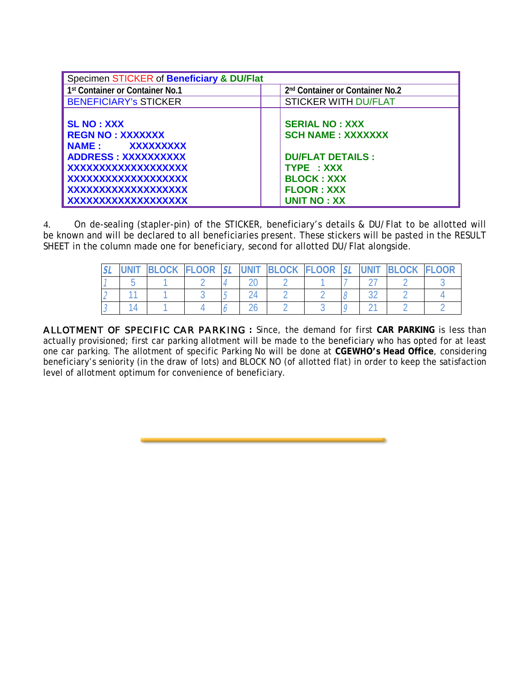| Specimen STICKER of Beneficiary & DU/Flat                                                                                          |                                                                                                                 |  |  |  |
|------------------------------------------------------------------------------------------------------------------------------------|-----------------------------------------------------------------------------------------------------------------|--|--|--|
| 1st Container or Container No.1                                                                                                    | 2 <sup>nd</sup> Container or Container No.2                                                                     |  |  |  |
| <b>BENEFICIARY's STICKER</b>                                                                                                       | <b>STICKER WITH DU/FLAT</b>                                                                                     |  |  |  |
| <b>SL NO: XXX</b><br><b>REGN NO: XXXXXXX</b><br>NAME: XXXXXXXXX<br>ADDRESS: XXXXXXXXXX<br>XXXXXXXXXXXXXXXXXX<br>XXXXXXXXXXXXXXXXXX | <b>SERIAL NO: XXX</b><br><b>SCH NAME: XXXXXXX</b><br><b>DU/FLAT DETAILS:</b><br>TYPE : XXX<br><b>BLOCK: XXX</b> |  |  |  |
| XXXXXXXXXXXXXXXXXX                                                                                                                 | <b>FLOOR: XXX</b>                                                                                               |  |  |  |
| XXXXXXXXXXXXXXXXXX                                                                                                                 | <b>UNIT NO: XX</b>                                                                                              |  |  |  |

4. On de-sealing (stapler-pin) of the STICKER, beneficiary's details & DU/Flat to be allotted will be known and will be declared to all beneficiaries present. These stickers will be pasted in the RESULT SHEET in the column made one for beneficiary, second for allotted DU/Flat alongside.

|  | <b>BLOCK</b> | <b>FLOOR</b> | SL | <b>UNIT</b> | BLOCK FLOOR | $\overline{C}$ | <b>UNIT</b> | <b>BLOCK</b> | <b>FLOOR</b> |
|--|--------------|--------------|----|-------------|-------------|----------------|-------------|--------------|--------------|
|  |              |              |    |             |             |                |             |              |              |
|  |              |              |    |             |             |                |             |              |              |
|  |              |              |    |             |             |                |             |              |              |

ALLOTMENT OF SPECIFIC CAR PARKING **:** Since, the demand for first **CAR PARKING** is less than actually provisioned; first car parking allotment will be made to the beneficiary who has opted for at least one car parking. The allotment of specific Parking No will be done at **CGEWHO's Head Office**, considering beneficiary's seniority (in the draw of lots) and BLOCK NO (of allotted flat) in order to keep the satisfaction level of allotment optimum for convenience of beneficiary.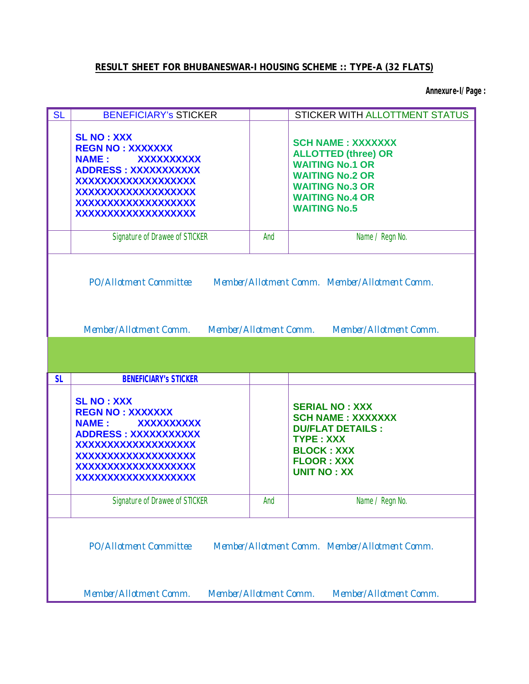## **RESULT SHEET FOR BHUBANESWAR-I HOUSING SCHEME :: TYPE-A (32 FLATS)**

**Annexure-I/Page :**

| <b>SL</b>                                                                                                                                                    | <b>BENEFICIARY's STICKER</b>                                                                                                                                                                             |     | STICKER WITH ALLOTTMENT STATUS                                                                                                                                                        |  |  |  |  |  |
|--------------------------------------------------------------------------------------------------------------------------------------------------------------|----------------------------------------------------------------------------------------------------------------------------------------------------------------------------------------------------------|-----|---------------------------------------------------------------------------------------------------------------------------------------------------------------------------------------|--|--|--|--|--|
|                                                                                                                                                              | <b>SL NO: XXX</b><br><b>REGN NO: XXXXXXX</b><br><b>NAME:</b><br><b>XXXXXXXXXX</b><br><b>ADDRESS: XXXXXXXXXXX</b><br>XXXXXXXXXXXXXXXXXX<br>XXXXXXXXXXXXXXXXXX<br>XXXXXXXXXXXXXXXXXX<br>XXXXXXXXXXXXXXXXXX |     | <b>SCH NAME: XXXXXXX</b><br><b>ALLOTTED (three) OR</b><br><b>WAITING No.1 OR</b><br><b>WAITING No.2 OR</b><br><b>WAITING No.3 OR</b><br><b>WAITING No.4 OR</b><br><b>WAITING No.5</b> |  |  |  |  |  |
|                                                                                                                                                              | <b>Signature of Drawee of STICKER</b>                                                                                                                                                                    | And | Name / Regn No.                                                                                                                                                                       |  |  |  |  |  |
|                                                                                                                                                              | PO/Allotment Committee<br>Member/Allotment Comm. Member/Allotment Comm.<br>Member/Allotment Comm.<br>Member/Allotment Comm.<br>Member/Allotment Comm.                                                    |     |                                                                                                                                                                                       |  |  |  |  |  |
|                                                                                                                                                              |                                                                                                                                                                                                          |     |                                                                                                                                                                                       |  |  |  |  |  |
| <b>SL</b>                                                                                                                                                    | <b>BENEFICIARY'S STICKER</b>                                                                                                                                                                             |     |                                                                                                                                                                                       |  |  |  |  |  |
|                                                                                                                                                              | <b>SL NO: XXX</b><br><b>REGN NO: XXXXXXX</b><br><b>NAME:</b><br><b>XXXXXXXXXX</b><br><b>ADDRESS: XXXXXXXXXXX</b><br>XXXXXXXXXXXXXXXXXX<br>XXXXXXXXXXXXXXXXXX<br>XXXXXXXXXXXXXXXXXX<br>XXXXXXXXXXXXXXXXXX |     | <b>SERIAL NO: XXX</b><br><b>SCH NAME: XXXXXXX</b><br><b>DU/FLAT DETAILS:</b><br><b>TYPE: XXX</b><br><b>BLOCK: XXX</b><br><b>FLOOR: XXX</b><br><b>UNIT NO: XX</b>                      |  |  |  |  |  |
|                                                                                                                                                              | <b>Signature of Drawee of STICKER</b>                                                                                                                                                                    | And | Name / Regn No.                                                                                                                                                                       |  |  |  |  |  |
| <b>PO/Allotment Committee</b><br>Member/Allotment Comm. Member/Allotment Comm.<br>Member/Allotment Comm.<br>Member/Allotment Comm.<br>Member/Allotment Comm. |                                                                                                                                                                                                          |     |                                                                                                                                                                                       |  |  |  |  |  |